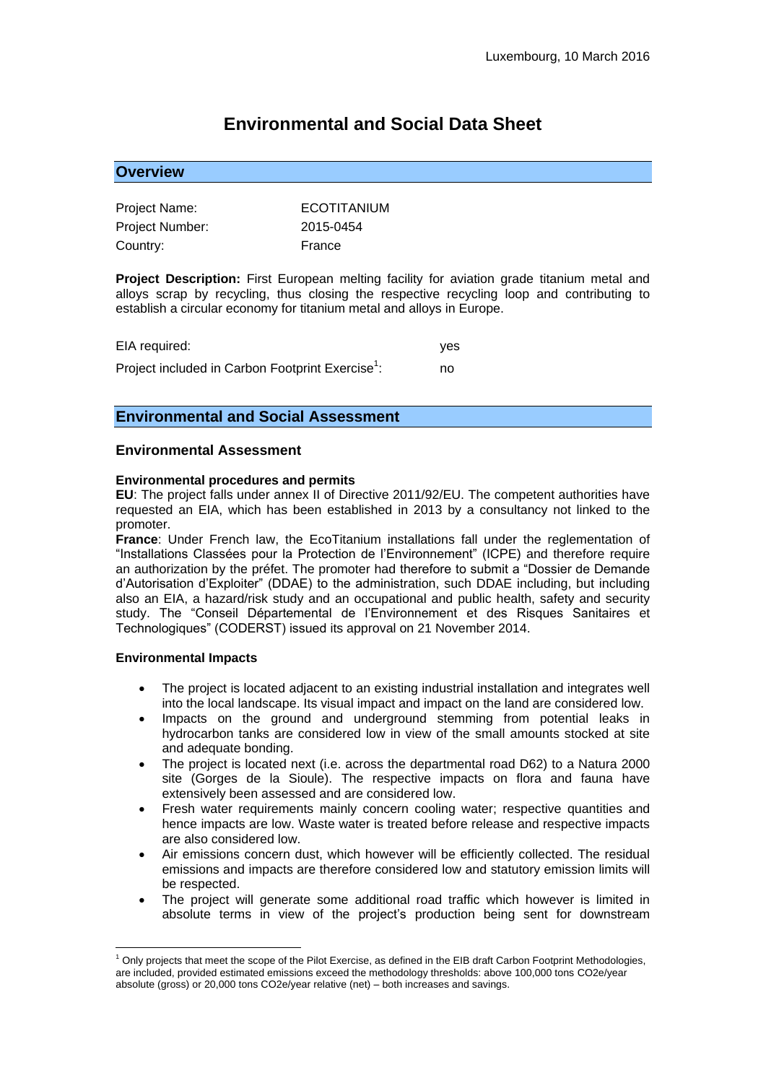# **Environmental and Social Data Sheet**

# **Overview**

| Project Name:          | ECOTITANIUM |
|------------------------|-------------|
| <b>Project Number:</b> | 2015-0454   |
| Country:               | France      |

**Project Description:** First European melting facility for aviation grade titanium metal and alloys scrap by recycling, thus closing the respective recycling loop and contributing to establish a circular economy for titanium metal and alloys in Europe.

| EIA required:                                                | ves |
|--------------------------------------------------------------|-----|
| Project included in Carbon Footprint Exercise <sup>1</sup> : | no  |

# **Environmental and Social Assessment**

#### **Environmental Assessment**

#### **Environmental procedures and permits**

**EU**: The project falls under annex II of Directive 2011/92/EU. The competent authorities have requested an EIA, which has been established in 2013 by a consultancy not linked to the promoter.

**France**: Under French law, the EcoTitanium installations fall under the reglementation of "Installations Classées pour la Protection de l'Environnement" (ICPE) and therefore require an authorization by the préfet. The promoter had therefore to submit a "Dossier de Demande d'Autorisation d'Exploiter" (DDAE) to the administration, such DDAE including, but including also an EIA, a hazard/risk study and an occupational and public health, safety and security study. The "Conseil Départemental de l'Environnement et des Risques Sanitaires et Technologiques" (CODERST) issued its approval on 21 November 2014.

#### **Environmental Impacts**

1

- The project is located adjacent to an existing industrial installation and integrates well into the local landscape. Its visual impact and impact on the land are considered low.
- Impacts on the ground and underground stemming from potential leaks in hydrocarbon tanks are considered low in view of the small amounts stocked at site and adequate bonding.
- The project is located next (i.e. across the departmental road D62) to a Natura 2000 site (Gorges de la Sioule). The respective impacts on flora and fauna have extensively been assessed and are considered low.
- Fresh water requirements mainly concern cooling water; respective quantities and hence impacts are low. Waste water is treated before release and respective impacts are also considered low.
- Air emissions concern dust, which however will be efficiently collected. The residual emissions and impacts are therefore considered low and statutory emission limits will be respected.
- The project will generate some additional road traffic which however is limited in absolute terms in view of the project's production being sent for downstream

 $1$  Only projects that meet the scope of the Pilot Exercise, as defined in the EIB draft Carbon Footprint Methodologies, are included, provided estimated emissions exceed the methodology thresholds: above 100,000 tons CO2e/year absolute (gross) or 20,000 tons CO2e/year relative (net) – both increases and savings.